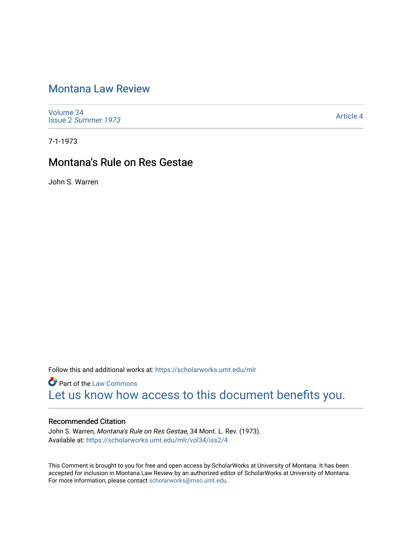# [Montana Law Review](https://scholarworks.umt.edu/mlr)

[Volume 34](https://scholarworks.umt.edu/mlr/vol34) Issue 2 [Summer 1973](https://scholarworks.umt.edu/mlr/vol34/iss2) 

[Article 4](https://scholarworks.umt.edu/mlr/vol34/iss2/4) 

7-1-1973

# Montana's Rule on Res Gestae

John S. Warren

Follow this and additional works at: [https://scholarworks.umt.edu/mlr](https://scholarworks.umt.edu/mlr?utm_source=scholarworks.umt.edu%2Fmlr%2Fvol34%2Fiss2%2F4&utm_medium=PDF&utm_campaign=PDFCoverPages) 

**Part of the [Law Commons](http://network.bepress.com/hgg/discipline/578?utm_source=scholarworks.umt.edu%2Fmlr%2Fvol34%2Fiss2%2F4&utm_medium=PDF&utm_campaign=PDFCoverPages)** [Let us know how access to this document benefits you.](https://goo.gl/forms/s2rGfXOLzz71qgsB2) 

## Recommended Citation

John S. Warren, Montana's Rule on Res Gestae, 34 Mont. L. Rev. (1973). Available at: [https://scholarworks.umt.edu/mlr/vol34/iss2/4](https://scholarworks.umt.edu/mlr/vol34/iss2/4?utm_source=scholarworks.umt.edu%2Fmlr%2Fvol34%2Fiss2%2F4&utm_medium=PDF&utm_campaign=PDFCoverPages) 

This Comment is brought to you for free and open access by ScholarWorks at University of Montana. It has been accepted for inclusion in Montana Law Review by an authorized editor of ScholarWorks at University of Montana. For more information, please contact [scholarworks@mso.umt.edu.](mailto:scholarworks@mso.umt.edu)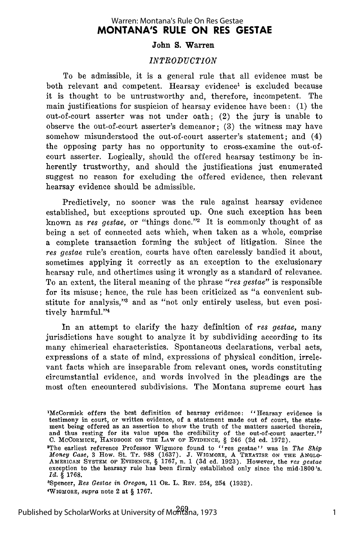## **MONTANA'S RULE ON RES GESTAE** Warren: Montana's Rule On Res Gestae

#### **John S. Warren**

### *INTRODUCTION*

To be admissible, it is a general rule that all evidence must be both relevant and competent. Hearsay evidence<sup>1</sup> is excluded because it is thought to be untrustworthy and, therefore, incompetent. The main justifications for suspicion of hearsay evidence have been: (1) the out-of-court asserter was not under oath; (2) the jury is unable to observe the out-of-court asserter's demeanor; (3) the witness may have somehow misunderstood the out-of-court asserter's statement; and (4) the opposing party has no opportunity to cross-examine the out-ofcourt asserter. Logically, should the offered hearsay testimony be inherently trustworthy, and should the justifications just enumerated suggest no reason for excluding the offered evidence, then relevant hearsay evidence should be admissible.

Predictively, no sooner was the rule against hearsay evidence established, but exceptions sprouted up. One such exception has been known as res gestae, or "things done."<sup>2</sup> It is commonly thought of as being a set of connected acts which, when taken as a whole, comprise a complete transaction forming the subject of litigation. Since the res gestae rule's creation, courts have often carelessly bandied it about, sometimes applying it correctly as an exception to the exclusionary hearsay rule, and othertimes using it wrongly as a standard of relevance. To an extent, the literal meaning of the phrase "res gestae" is responsible for its misuse; hence, the rule has been criticized as "a convenient substitute for analysis,"3 and as "not only entirely useless, but even positively harmful."4

In an attempt to clarify the hazy definition of res gestae, many jurisdictions have sought to analyze it by subdividing according to its many chimerical characteristics. Spontaneous declarations, verbal acts, expressions of a state of mind, expressions of physical condition, irrelevant facts which are inseparable from relevant ones, words constituting circumstantial evidence, and words involved in the pleadings are the most often encountered subdivisions. The Montana supreme court has

'Spencer, *Res Gestae in Oregon,* 11 **OR.** L. REV. 254, 254 (1932). 'WIoMORE, *supra* note 2 at **§** 1767.

<sup>&#</sup>x27;McCormick offers the best definition of hearsay evidence: "Hearsay evidence is testimony in court, or written evidence, of a statement made out of court, the statement being offered as an assertion to show the truth of the matters asserted therein and thus resting for its value upon the credibility of the out-of-court asserter. **C.** McCoRMIcK, **HANDBOOK ON THE LAW OF** EVIDENCE, **§** 246 **(2d** ed. **1972).**

<sup>&#</sup>x27;The earliest reference Professor Wigmore found to "res gestae"' was in *The Ship Money Case,* 3 How. St. Tr. 988 (1637). **J.** WIGMORE, A TREATISE **ON THE ANGLO-**AMERICAN **SYSTEM OF EVIDENCE, §** 1767, n. 1 (3d ed. 1923). However, the *res gestae* exception to the hearsay rule has been firmly established only since the mid-1800's *Id.* **§ 1768.**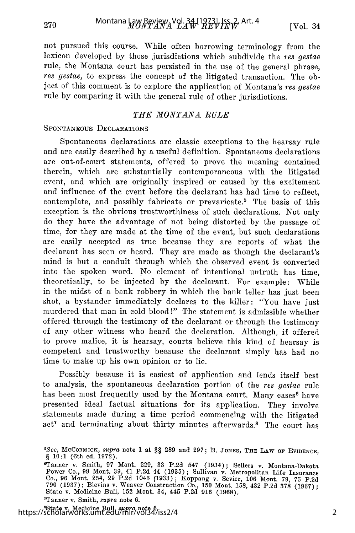not pursued this course. While often borrowing terminology from the lexicon developed by those jurisdictions which subdivide the res gestae rule, the Montana court has persisted in the use of the general phrase, res gestae, to express the concept of the litigated transaction. The object of this comment is to explore the application of Montana's res gestae rule by comparing it with the general rule of other jurisdictions.

## *THE MONTANA RULE*

## SPONTANEOUS DECLARATIONS

270

Spontaneous declarations are classic exceptions to the hearsay rule and are easily described by a useful definition. Spontaneous declarations are out-of-court statements, offered to prove the meaning contained therein, which are substantially contemporaneous with the litigated event, and which are originally inspired or caused by the excitement and influence of the event before the declarant has had time to reflect, contemplate, and possibly fabricate or prevaricate.<sup>5</sup> The basis of this exception is the obvious trustworthiness of such declarations. Not only do they have the advantage of not being distorted by the passage of time, for they are made at the time of the event, but such declarations are easily accepted as true because they are reports of what the declarant has seen or heard. They are made as though the declarant's mind is but a conduit through which the observed event is converted into the spoken word. No element of intentional untruth has time, theoretically, to be injected by the declarant. For example: While in the midst of a bank robbery in which the bank teller has just been shot, a bystander immediately declares to the killer: "You have just murdered that man in cold blood!" The statement is admissible whether offered through the testimony of the declarant or through the testimony of any other witness who heard the declaration. Although, if offered to prove malice, it is hearsay, courts believe this kind of hearsay is competent and trustworthy because the declarant simply has had no time to make up his own opinion or to lie.

Possibly because it is easiest of application and lends itself best to analysis, the spontaneous declaration portion of the res gestae rule has been most frequently used by the Montana court. Many cases<sup>6</sup> have presented ideal factual situations for its application. They involve statements made during a time period commencing with the litigated act<sup>7</sup> and terminating about thirty minutes afterwards.<sup>8</sup> The court has

'State v. Medicine Bull, *supra* note 6. https://scholarworks.umt.edu/mlr/vol34/iss2/4

*<sup>5</sup>See,* MCCORMICK, *supra* note 1 at §§ **289** and 297; B. JONES, **THE** LAW oF EVIDENCE, § 10:1 (6th ed. 1972).

<sup>&#</sup>x27;Tanner v. Smith, 97 Mont. 229, 33 P.2d 547 (1934); Sellers v. Montana-Dakota Power Co., 99 Mont. 39, 41 P.2d 44 (1935); Sullivan v. Metropolitan Life Insurance Co., 96 Mont. 254, 29 P.2d 1046 (1933) ; Koppang v. Sevier, 106 Mont. 79, 75 P.2d 790 (1937) ; Blevins v. Weaver Construction Co., **150** Mont. 158, 432 P.2d 378 (1967); State v. Medicine Bull, 152 Mont. 34, 445 P.2d 916 (1968). <sup>7</sup> Tanner v. Smith, *supra* note 6.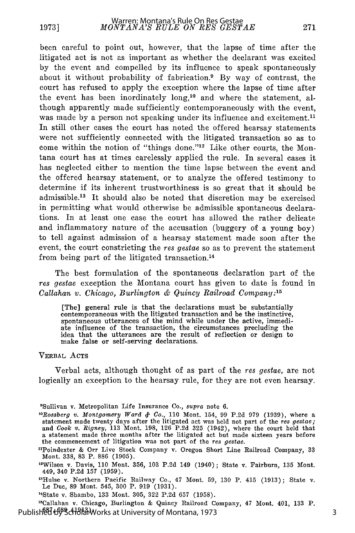been careful to point out, however, that the lapse of time after the litigated act is not as important as whether the declarant was excited by the event and compelled by its influence to speak spontaneously about it without probability of fabrication.9 By way of contrast, the court has refused to apply the exception where the lapse of time after the event has been inordinately  $\log$ ,<sup>10</sup> and where the statement, although apparently made sufficiently contemporaneously with the event, was made by a person not speaking under its influence and excitement.<sup>11</sup> In still other cases the court has noted the offered hearsay statements were not sufficiently connected with the litigated transaction so as to come within the notion of "things done."<sup>12</sup> Like other courts, the Montana court has at times carelessly applied the rule. In several cases it has neglected either to mention the time lapse between the event and the offered hearsay statement, or to analyze the offered testimony to determine if its inherent trustworthiness is so great that it should be admissible.<sup>13</sup> It should also be noted that discretion may be exercised in permitting what would otherwise be admissible spontaneous declarations. In at least one case the court has allowed the rather delicate and inflammatory nature of the accusation (buggery of a young boy) to tell against admission of a hearsay statement made soon after the event, the court constricting the res gestae so as to prevent the statement from being part of the litigated transaction.<sup>14</sup>

The best formulation of the spontaneous declaration part of the *res gestae* exception the Montana court has given to date is found in *Callahan v. Chicago, Burlington* **&** *Quincy Railroad Company:15*

[The] general rule is that the declarations must be substantially contemporaneous with the litigated transaction and be the instinctive, spontaneous utterances of the mind while under the active, immediate influence of the transaction, the circumstances precluding the idea that the utterances are the result of reflection or design to make false or self-serving declarations.

#### VERBAL ACTS

Verbal acts, although thought of as part of the *res gestae,* are not logically an exception to the hearsay rule, for they are not even hearsay.

"Callahan v. Chicago, Burlington & Quincy Railroad Company, 47 Mont. 401, 133 P. Published by ScholarWorks at University of Montana, 1973

<sup>9</sup> Sullivan v. Metropolitan Life Insurance Co., *supra* note 6.

<sup>&</sup>lt;sup>10</sup>Rossberg v. Montgomery Ward & Co., 110 Mont. 154, 99 P.2d 979 (1939), where a statement made twenty days after the litigated act was held not part of the *res gestae;* and *Cook* v. *Rigney,* 113 Mont. 198, 126 P.2d 325 (1942), where the court held that a statement made three months after the litigated act but made sixteen years before the commencement of litigation was not part of the *res gestae.*

<sup>&</sup>quot;Poindexter & Orr Live Stock Company v. Oregon Short Line Railroad Company, 33 Mont. 338, 83 P. 886 (1905).

<sup>&</sup>lt;sup>12</sup>Wilson v. Davis, 110 Mont. 356, 103 P.2d 149 (1940); State v. Fairburn, 135 Mont.<br>449, 340 P.2d 157 (1959).

<sup>&</sup>quot;Hulse v. Northern Pacific Railway Co., 47 Mont. 59, 130 P. 415 (1913); State v. Le Due, 89 Mont. 545, 300 P. 919 (1931).

<sup>&</sup>quot;State v. Shambo, 133 Mont. 305, 322 P.2d 657 (1958).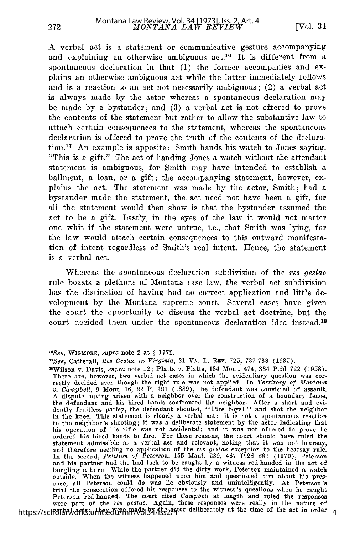A verbal act is a statement or communicative gesture accompanying and explaining an otherwise ambiguous  $act<sup>16</sup>$  It is different from a spontaneous declaration in that (1) the former accompanies and explains an otherwise ambiguous act while the latter immediately follows and is a reaction to an act not necessarily ambiguous; (2) a verbal act is always made by the actor whereas a spontaneous declaration may be made by a bystander; and (3) a verbal act is not offered to prove the contents of the statement but rather to allow the substantive law to attach certain consequences to the statement, whereas the spontaneous declaration is offered to prove the truth of the contents of the declaration.17 An example is apposite: Smith hands his watch to Jones saying, "This is a gift." The act of handing Jones a watch without the attendant statement is ambiguous, for Smith may have intended to establish a bailment, a loan, or a gift; the accompanying statement, however, explains the act. The statement was made by the actor, Smith; had a bystander made the statement, the act need not have been a gift, for all the statement would then show is that the bystander assumed the act to be a gift. Lastly, in the eyes of the law it would not matter one whit if the statement were untrue, i.e., that Smith was lying, for the law would attach certain consequences to this outward manifestation of intent regardless of Smith's real intent. Hence, the statement is a verbal act.

Whereas the spontaneous declaration subdivision of the res gestae rule boasts a plethora of Montana case law, the verbal act subdivision has the distinction of having had no correct application and little development by the Montana supreme court. Several cases have given the court the opportunity to discuss the verbal act doctrine, but the court decided them under the spontaneous declaration idea instead.<sup>18</sup>

"Wilson v. Davis, *supra* note 12; Platts v. Platts, 134 Mont. 474, 334 P.2d 722 (1958). There are, however, two verbal act cases in which the evidentiary question was cor-rectly decided even though the right rule was not applied. In *Territory of Montana v. Campbell,* 9 Mont. 16, 22 P. 121 (1889), the defendant was convicted of assault. A dispute having arisen with a neighbor over the construction of a boundary fence, the defendant and his hired hands confronted the neighbor. After a short and evidently fruitless parley, the defendant shouted, "Fire boys!" and shot the neighbor in the knee. This statement is clearly a verbal act: it is not a spontaneous reaction to the neighbor's shooting; it was a deliberate statement by the actor indicating that his operation of his rifle was not accidental; and it was not offered to prove he ordered his hired hands to fire. For these reasons, the court should have ruled the statement admissible as a verbal act and relevant, noting that it was not hearsay, and therefore needing no application of the res gestae exception to the hearsay rule.<br>In the second, *Petition of Peterson*, 155 Mont. 239, 467 P.2d 281 (1970), Peterson<br>and his partner had the bad luck to be caught by a w burgling a barn. While the partner did the dirty work, Peterson maintained a watch outside. When the witness happened upon him and questioned him about his pres-ence, all Peterson could do was lie obviously and unintelligently. At Peterson's trial the prosecution offered his responses to the witness's questions when he caugh Peterson red-handed. The court cited *Campbell* at length and ruled the responses were part of the *res gestae.* Again, these responses were really in the nature of https://scholarworks.umte.edu/mm/vol34/hs2294tor deliberately at the time of the act in order 4

*<sup>&</sup>quot; 6 See,* **WIGMORE,** *supra* note 2 at § 1772.

*<sup>7</sup>See,* Catterall, *1es Gestae in Virginia,* 21 VA. L. REV. 725, 737-738 (1935).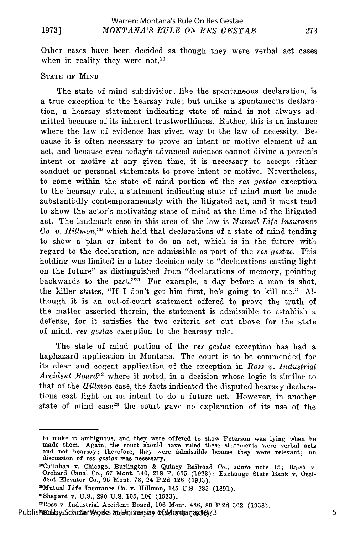#### **19731**

Other cases have been decided as though they were verbal act cases when in reality they were not.<sup>19</sup>

#### STATE OF MIND

The state of mind subdivision, like the spontaneous declaration, is a true exception to the hearsay rule; but unlike a spontaneous declaration, a hearsay statement indicating state of mind is not always admitted because of its inherent trustworthiness. Rather, this is an instance where the law of evidence has given way to the law of necessity. Because it is often necessary to prove an intent or motive element of an act, and because even today's advanced sciences cannot divine a person's intent or motive at any given time, it is necessary to accept either conduct or personal statements to prove intent or motive. Nevertheless, to come within the state of mind portion of the *res gestae* exception to the hearsay rule, a statement indicating state of mind must be made substantially contemporaneously with the litigated act, and it must tend to show the actor's motivating state of mind at the time of the litigated act. The landmark case in this area of the law is *Mutual Life Insurance Co. v. Hillmon,20* which held that declarations of a state of mind tending to show a plan or intent to do an act, which is in the future with regard to the declaration, are admissible as part of the *res gestae.* This holding was limited in a later decision only to "declarations casting light on the future" as distinguished from "declarations of memory, pointing backwards to the past."21 For example, a day before a man is shot, the killer states, "If I don't get him first, he's going to kill me." **Al**though it is an out-of-court statement offered to prove the truth of the matter asserted therein, the statement is admissible to establish a defense, for it satisfies the two criteria set out above for the state of mind, res *gestae* exception to the hearsay rule.

The state of mind portion of the *res gestae* exception has had a haphazard application in Montana. The court is to be commended for its clear and cogent application of the exception in *Ross v. Industrial Accident Board22* where it noted, in a decision whose logic is similar to that of the *Hillmon* case, the facts indicated the disputed hearsay declarations cast light on an intent to do a future act. However, in another state of mind case<sup>23</sup> the court gave no explanation of its use of the

Published alpy ScholarWorks at Juhiversity of Montana 84973

to make it ambiguous, and they were offered to show Peterson was lying when he made them. Again, the court should have ruled these statements were verbal acts and not hearsay; therefore, they were admissible beause they were relevant; no discussion of *res gestae* was necessary.

<sup>&</sup>quot;'Callahan v. Chicago, Burlington & Quincy Railroad Co., *supra* note 15; Raish v. Orchard Canal Co., 67 Mont. 140, 218 P. 655 (1923); Exchange State Bank v. Occident Elevator Co., 95 Mont. 78, 24 P.2d 126 (1933)

<sup>&#</sup>x27;Mutual Life Insurance Co. v. Hillmon, 145 U.S. 285 (1891).

<sup>&#</sup>x27;Shepard v. U.S., **290** U.S. 105, 106 (1933).

<sup>&#</sup>x27;Ross v. Industrial Accident Board, 106 Mont. 486, 80 P.2d 362 (1938).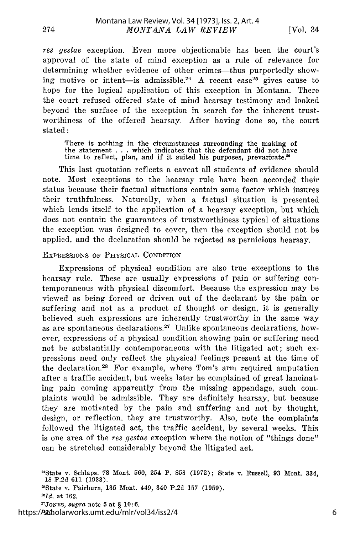res gestae exception. Even more objectionable has been the court's approval of the state of mind exception as a rule of relevance for determining whether evidence of other crimes-thus purportedly showing motive or intent-is admissible.<sup>24</sup> A recent case<sup>25</sup> gives cause to hope for the logical application of this exception in Montana. There the court refused offered state of mind hearsay testimony and looked beyond the surface of the exception in search for the inherent trustworthiness of the offered hearsay. After having done so, the court stated:

There is nothing in the circumstances surrounding the making of the statement . . . which indicates that the defendant did not have time to reflect, plan, and if it suited his purposes, prevaricate.<sup>26</sup>

This last quotation reflects a caveat all students of evidence should note. Most exceptions to the hearsay rule have been accorded their status because their factual situations contain some factor which insures their truthfulness. Naturally, when a factual situation is presented which lends itself to the application of a hearsay exception, but which does not contain the guarantees of trustworthiness typical of situations the exception was designed to cover, then the exception should not be applied, and the declaration should be rejected as pernicious hearsay.

### **EXPRESSIONS** OF PHYSICAL CONDITION

Expressions of physical condition are also true exceptions to the hearsay rule. These are usually expressions of pain or suffering contemporaneous with physical discomfort. Because the expression may be viewed as being forced or driven out of the declarant by the pain or suffering and not as a product of thought or design, it is generally believed such expressions are inherently trustworthy in the same way as are spontaneous declarations.<sup>27</sup> Unlike spontaneous declarations, however, expressions of a physical condition showing pain or suffering need not be substantially contemporaneous with the litigated act; such expressions need only reflect the physical feelings present at the time of the declaration.<sup>28</sup> For example, where Tom's arm required amputation after a traffic accident, but weeks later he complained of great lancinating pain coming apparently from the missing appendage, such complaints would be admissible. They are definitely hearsay, but because they are motivated by the pain and suffering and not by thought, design, or reflection, they are trustworthy. Also, note the complaints followed the litigated act, the traffic accident, by several weeks. This is one area of the res gestae exception where the notion of "things done" can be stretched considerably beyond the litigated act.

21State v. Schlaps. **78** Mont. **560,** 254 P. **858 (1972);** State v. Russell, **93** Mont. 334, **18 P.2d 611 (1933).** 2 5 State v. Fairburn, **135** Mont. 449, 340 **P.2d 157 (1959). "Id.** at **162.** <sup>2</sup> JONES, *supra* note **5** at § **10:6.** *"AId.* https://scholarworks.umt.edu/mlr/vol34/iss2/4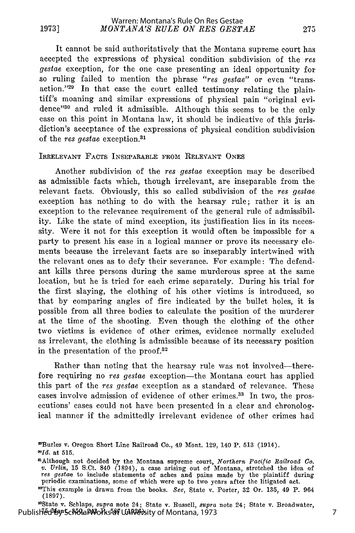It cannot be said authoritatively that the Montana supreme court has accepted the expressions of physical condition subdivision of the res gestae exception, for the one case presenting an ideal opportunity for so ruling failed to mention the phrase "res gestae" or even "transaction."<sup>29</sup> In that case the court called testimony relating the plaintiff's moaning and similar expressions of physical pain "original evidence '30 and ruled it admissible. Although this seems to be the only case on this point in Montana law, it should be indicative of this jurisdiction's acceptance of the expressions of physical condition subdivision of the res gestae exception.<sup>31</sup>

#### IRRELEVANT FACTS INSEPARABLE FROM RELEVANT ONES

Another subdivision of the res gestae exception may be described as admissible facts which, though irrelevant, are inseparable from the relevant facts. Obviously, this so called subdivision of the res gestae exception has nothing to do with the hearsay rule; rather it is an exception to the relevance requirement of the general rule of admissibility. Like the state of mind exception, its justification lies in its necessity. Were it not for this exception it would often be impossible for a party to present his case in a logical manner or prove its necessary elements because the irrelevant facts are so inseparably intertwined with the relevant ones as to defy their severance. For example: The defendant kills three persons during the same murderous spree at the same location, but he is tried for each crime separately. During his trial for the first slaying, the clothing of his other victims is introduced, so that by comparing angles of fire indicated by the bullet holes, it is possible from all three bodies to calculate the position of the murderer at the time of the shooting. Even though the clothing of the other two victims is evidence of other crimes, evidence normally excluded as irrelevant, the clothing is admissible because of its necessary position in the presentation of the proof.<sup>32</sup>

Rather than noting that the hearsay rule was not involved--therefore requiring no res gestae exception-the Montana court has applied this part of the res *gestae* exception as a standard of relevance. These cases involve admission of evidence of other crimes.<sup>33</sup> In two, the prosecutions' cases could not have been presented in a clear and chronological manner if the admittedly irrelevant evidence of other crimes had

<sup>2</sup> 'Burles v. Oregon Short Line Railroad Co., 49 Mont. 129, 140 P. 513 (1914). *11Id.* at 515.

a Although not decided by the Montana supreme court, Northern Pacific Railroad Co.<br>v. Urlin, 15 S.Ct. 840 (1894), a case arising out of Montana, stretched the idea of res gestae to include statements of aches and pains made by the plaintiff during periodic examinations, some of which were up to two years after the litigated act.

<sup>&</sup>quot;This example is drawn from the books. *See,* State v. Porter, 32 Or. 135, 49 P. 964 (1897).

<sup>&</sup>quot;State v. Schlaps, *supra* note 24; State v. Russell, *supra* note 24; State v. Broadwater, Published by Scholar Montana, 250, 250, 250, 250, 250, 250, 250, 260, 273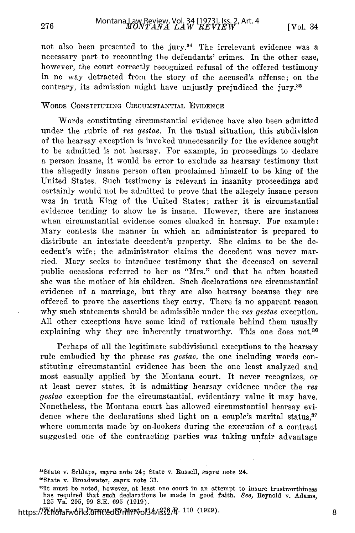not also been presented to the jury. $34$  The irrelevant evidence was a necessary part to recounting the defendants' crimes. In the other case, however, the court correctly recognized refusal of the offered testimony in no way detracted from the story of the accused's offense; on the contrary, its admission might have unjustly prejudiced the jury.<sup>35</sup>

### WORDS CONSTITUTING CIRCUMSTANTIAL EVIDENCE

276

Words constituting circumstantial evidence have also been admitted under the rubric of res gestae. In the usual situation, this subdivision of the hearsay exception is invoked unnecessarily for the evidence sought to be admitted is not hearsay. For example, in proceedings to declare a person insane, it would be error to exclude as hearsay testimony that the allegedly insane person often proclaimed himself to be king of the United States. Such testimony is relevant in insanity proceedings and certainly would not be admitted to prove that the allegely insane person was in truth King of the United States; rather it is circumstantial evidence tending to show he is insane. However, there are instances when circumstantial evidence comes cloaked in hearsay. For example: Mary contests the manner in which an administrator is prepared to distribute an intestate decedent's property. She claims to be the decedent's wife; the administrator claims the decedent was never married. Mary seeks to introduce testimony that the deceased on several public occasions referred to her as "Mrs." and that he often boasted she was the mother of his children. Such declarations are circumstantial evidence of a marriage, but they are also hearsay because they are offered to prove the assertions they carry. There is no apparent reason why such statements should be admissible under the res gestae exception. All other exceptions have some kind of rationale behind them usually explaining why they are inherently trustworthy. This one does not.<sup>36</sup>

Perhaps of all the legitimate subdivisional exceptions to the hearsay rule embodied by the phrase res gestae, the one including words constituting circumstantial evidence has been the one least analyzed and most casually applied by the Montana court. It never recognizes, or at least never states, it is admitting hearsay evidence under the res gestae exception for the circumstantial, evidentiary value it may have. Nonetheless, the Montana court has allowed circumstantial hearsay evidence where the declarations shed light on a couple's marital status,<sup>37</sup> where comments made by on-lookers during the execution of a contract suggested one of the contracting parties was taking unfair advantage

'State v. Broadwater, *supra* note 33.

https://XPhelarwolks.erm.edep.Mn4ol34<sub>/1</sub>332/4.110 (1929)

<sup>&</sup>quot; 4 State v. Schlaps, *supra* note 24; State v. Russell, *supra* note 24.

<sup>&</sup>lt;sup>86</sup>It must be noted, however, at least one court in an attempt to insure trustworthiness has required that such declarations be made in good faith. *See,* Reynold v. Adams, 125 Va. 295, 99 S.E. 695 (1919). <sup>8</sup>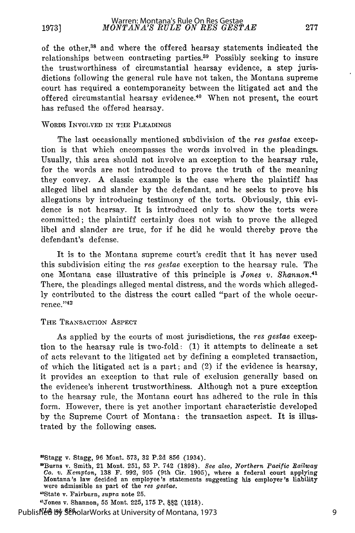of the other, 8 and where the offered hearsay statements indicated the relationships between contracting parties.39 Possibly seeking to insure the trustworthiness of circumstantial hearsay evidence, a step jurisdictions following the general rule have not taken, the Montana supreme court has required a contemporaneity between the litigated act and the offered circumstantial hearsay evidence.<sup>40</sup> When not present, the court has refused the offered hearsay.

#### WORDS INVOLVED IN **THE** PLEADINGS

The last occasionally mentioned subdivision of the *res gestae* exception is that which encompasses the words involved in the pleadings. Usually, this area should not involve an exception to the hearsay rule, for the words are not introduced to prove the truth of the meaning they convey. A classic example is the case where the plaintiff has alleged libel and slander by the defendant, and he seeks to prove his allegations by introducing testimony of the torts. Obviously, this evidence is not hearsay. It is introduced only to show the torts were committed; the plaintiff certainly does not wish to prove the alleged libel and slander are true, for if he did he would thereby prove the defendant's defense.

It is to the Montana supreme court's credit that it has never used this subdivision citing the *res gestae* exception to the hearsay rule. The one Montana case illustrative of this principle is *Jones v. Shannon.4 1* There, the pleadings alleged mental distress, and the words which allegedly contributed to the distress the court called "part of the whole occurrence." 42

#### THE TRANSACTION ASPECT

As applied by the courts of most jurisdictions, the *res gestae* exception to the hearsay rule is two-fold: (1) it attempts to delineate a set of acts relevant to the litigated act by defining a completed transaction, of which the litigated act is a part; and (2) if the evidence is hearsay, it provides an exception to that rule of exclusion generally based on the evidence's inherent trustworthiness. Although not a pure exception to the hearsay rule, the Montana court has adhered to the rule in this form. However, there is yet another important characteristic developed by the Supreme Court of Montana: the transaction aspect. It is illustrated by the following cases.

'Stagg v. Stagg, 96 Mont. 573, 32 P.2d 856 (1934).

<sup>41</sup>Jones v. Shannon, 55 Mont. 225, 175 P. 882 (1918).

Published By SeholarWorks at University of Montana, 1973

<sup>0</sup>Burns v. Smith, 21 Mont. 251, 53 P. 742 (1898). *See also, Northern Pacific Railway Co.* v. *Kempton,* 138 F. 992, 995 (9th Cir. 1905), where a federal court applying Montana's law decided an employee's statements suggesting his employer's liability were admissible as part of the *res gestae.*

<sup>&</sup>quot;State v. Fairburn, *supra* note **25.**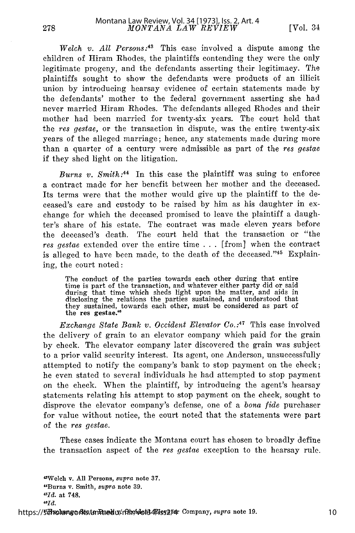*Welch v. All Persons:43* This case involved a dispute among the children of Hiram Rhodes, the plaintiffs contending they were the only legitimate progeny, and the defendants asserting their legitimacy. The plaintiffs sought to show the defendants were products of an illicit union by introducing hearsay evidence of certain statements made by the defendants' mother to the federal government asserting she had never married Hiram Rhodes. The defendants alleged Rhodes and their mother had been married for twenty-six years. The court held that the *res gestae,* or the transaction in dispute, was the entire twenty-six years of the alleged marriage; hence, any statements made during more than a quarter of a century were admissible as part of the *res gestae* if they shed light on the litigation.

*Burns v. Smith:44* In this case the plaintiff was suing to enforce a contract made for her benefit between her mother and the deceased. Its terms were that the mother would give up the plaintiff to the deceased's care and custody to be raised by him as his daughter in exchange for which the deceased promised to leave the plaintiff a daughter's share of his estate. The contract was made eleven years before the deceased's death. The court held that the transaction or "the *res gestae* extended over the entire time . . . [from] when the contract is alleged to have been made, to the death of the deceased."45 Explaining, the court noted:

The conduct of the parties towards each other during that entire time is part of the transaction, and whatever either party did or said during that time which sheds light upon the matter, and aids in disclosing the relations the parties sustained, and understood that they sustained, towards each other, must be considered as part of the res gestae.<sup>46</sup>

*Exchange State Bank v. Occident Elevator Co.:47* This case involved the delivery of grain to an elevator company which paid for the grain by check. The elevator company later discovered the grain was subject to a prior valid security interest. Its agent, one Anderson, unsuccessfully attempted to notify the company's bank to stop payment on the check; he even stated to several individuals he had attempted to stop payment on the check. When the plaintiff, by introducing the agent's hearsay statements relating his attempt to stop payment on the check, sought to disprove the elevator company's defense, one of a *bona fide* purchaser for value without notice, the court noted that the statements were part of the *res gestae.*

These cases indicate the Montana court has chosen to broadly define the transaction aspect of the *res gestae* exception to the hearsay rule.

"Welch v. **All** Persons, *supra* note **37.** "Burns v. Smith, *supra* note **39.** *'-Iud.* at **748.**

*"Id.*

https://5dholangorks.tenRaedu/mlr/wol34*Fiss214*r Company, *supra* note 19.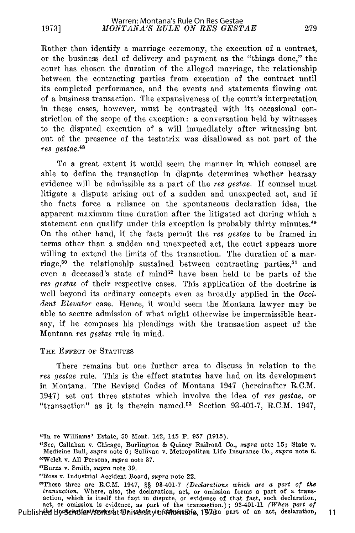Rather than identify a marriage ceremony, the execution of a contract, or the business deal of delivery and payment as the "things done," the court has chosen the duration of the alleged marriage, the relationship between the contracting parties from execution of the contract until its completed performance, and the events and statements flowing out of a business transaction. The expansiveness of the court's interpretation in these cases, however, must be contrasted with its occasional constriction of the scope of the exception: a conversation held by witnesses to the disputed execution of a will immediately after witnessing but out of the presence of the testatrix was disallowed as not part of the res gestae.48

To a great extent it would seem the manner in which counsel are able to define the transaction in dispute determines whether hearsay evidence will be admissible as a part of the res gestae. If counsel must litigate a dispute arising out of a sudden and unexpected act, and if the facts force a reliance on the spontaneous declaration idea, the apparent maximum time duration after the litigated act during which a statement can qualify under this exception is probably thirty minutes.<sup>49</sup> On the other hand, if the facts permit the res *gestae* to be framed in terms other than a sudden and unexpected act, the court appears more willing to extend the limits of the transaction. The duration of a marriage,<sup>50</sup> the relationship sustained between contracting parties,<sup>51</sup> and even a deceased's state of mind<sup>52</sup> have been held to be parts of the res *gestae* of their respective cases. This application of the doctrine is well beyond its ordinary concepts even as broadly applied in the *Occident Elevator* case. Hence, it would seem the Montana lawyer may be able to secure admission of what might otherwise be impermissible hearsay, if he composes his pleadings with the transaction aspect of the Montana *res gestae* rule in mind.

#### THE EFFECT **OF** STATUTES

There remains but one further area to discuss in relation to the *res gestae* rule. This is the effect statutes have had on its development in Montana. The Revised Codes of Montana 1947 (hereinafter R.C.M. 1947) set out three statutes which involve the idea of *res gestae,* or "transaction" as it is therein named.<sup>53</sup> Section 93-401-7, R.C.M. 1947,

'These three are R.C.M. 1947, §§ 93-401-7 *(Declarations which are a part of the transaction.* Where, also, the declaration, act, or omission forms a part of a trans-action, which is itself the fact in dispute, or evidence of that fact, such declaration, act, or omission is evidence, as part of the transaction.) ; 93-401-11 *(When part of* part of transaction, 3 sectors, 3 part of the cransaction, 3 sectors (*whole part of spile*)

<sup>4</sup>In re Williams' Estate, 50 Mont. 142, 145 P. 957 (1915).

*<sup>&</sup>quot;OSee,* Callahan v. Chicago, Burlington & Quincy Railroad Co., *supra* note 15; State v. Medicine Bull, *supra* note 6; Sullivan v. Metropolitan Life Insurance Co., *supra* note 6. "Welch v. All Persons, *supra* note 37.

<sup>&#</sup>x27;Burns v. Smith, *supra* note 39.

<sup>&#</sup>x27;Ross v. Industrial Accident Board, *supra* note 22.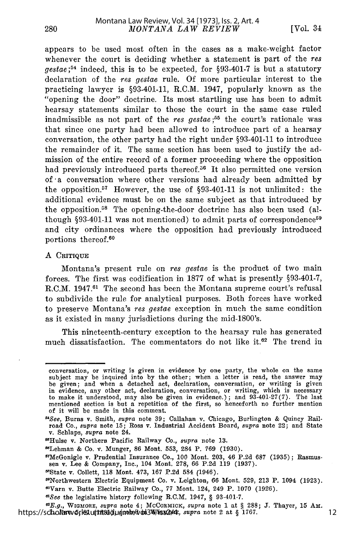appears to be used most often in the cases as a make-weight factor whenever the court is deciding whether a statement is part of the res *gestae* ;54 indeed, this is to be expected, for §93-401-7 is but a statutory declaration of the res gestae rule. Of more particular interest to the practicing lawyer is §93-401-11, R.C.M. 1947, popularly known as the "opening the door" doctrine. Its most startling use has been to admit hearsay statements similar to those the court in the same case ruled inadmissible as not part of the res gestae;<sup>55</sup> the court's rationale was that since one party had been allowed to introduce part of a hearsay conversation, the other party had the right under §93-401-11 to introduce the remainder of it. The same section has been used to justify the admission of the entire record of a former proceeding where the opposition had previously introduced parts thereof.<sup>56</sup> It also permitted one version of a conversation where other versions had already been admitted by the opposition.<sup>57</sup> However, the use of  $§93-401-11$  is not unlimited: the additional evidence must be on the same subject as that introduced by the opposition.<sup>58</sup> The opening-the-door doctrine has also been used (although  $§93-401-11$  was not mentioned) to admit parts of correspondence<sup>59</sup> and city ordinances where the opposition had previously introduced portions thereof. <sup>60</sup>

#### **A CRITIQUE**

Montana's present rule on res *gestae* is the product of two main forces. The first was codification in 1877 of what is presently §93-401-7, R.C.M. 1947.<sup>61</sup> The second has been the Montana supreme court's refusal to subdivide the rule for analytical purposes. Both forces have worked to preserve Montana's res gestae exception in much the same condition as it existed in many jurisdictions during the mid-1800's.

This nineteenth-century exception to the hearsay rule has generated much dissatisfaction. The commentators do not like it.<sup>62</sup> The trend in

conversation, or writing is given in evidence by one party, the whole on the same subject may be inquired into by the other; when a letter is read, the answer may be given; and when a detached act, declaration, conversation, or writing is given in evidence, any other act, declaration, conversation, or writing, which is necessary to make it understood, may also be given in evidence.); and  $93.401-27(7)$ . The last mentioned section is but a repetition of the first, so henceforth no further mention of it will be made in this comment.

*<sup>&</sup>quot;See,* Burns v. Smith, *supra* note 39; Callahan v. Chicago, Burlington & Quincy Railroad Co., *supra* note 15; Ross v. Industrial Accident Board, *supra* note 22; and State v. Seblaps, *supra* note 24.

<sup>&</sup>quot;Hulse v. Northern Pacific Railway Co., *supra* note 13.

<sup>&</sup>quot;Lehman & Co. v. Munger, 86 Mont. 553, 284 P. 769 (1930).

<sup>7</sup>McGonigle v. Prudential Insurance Co., 100 Mont. 203, 46 P.2d 687 (1935); Rasmussen v. Lee & Company, Inc., 104 Mont. 278, 66 P.2d 119 (1937)

<sup>&</sup>quot;State v. Collett, **118** Mont. 473, 167 P.2d 584 (1946).

<sup>&</sup>quot;Northwestern Electric Equipment Co. v. Leighton, 66 Mont. 529, 213 P. 1094 (1923).

<sup>&</sup>quot;Varn v. Butte Electric Railway Co., 77 Mont. 124, 249 P. 1070 (1926).

*<sup>&</sup>quot;See* the legislative history following R.C.M. 1947, § 93-401-7.

**<sup>&</sup>quot;E.g.,** WIGMORE, *supra* note 4; MCCORMICK, *supra* note 1 at § 288; **J.** Thayer, 15 Am. https://scholarworksluth and hydroded in **Burners.**, which here 2 at § 1767. 12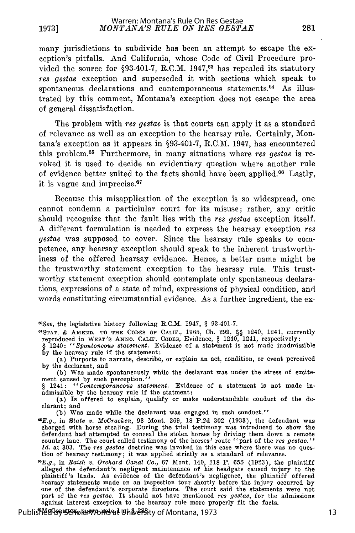many jurisdictions to subdivide has been an attempt to escape the exception's pitfalls. And California, whose Code of Civil Procedure provided the source for  $\S$ 3-401-7, R.C.M. 1947,<sup>63</sup> has repealed its statutory res *gestae* exception and superseded it with sections which speak to spontaneous declarations and contemporaneous statements.<sup>64</sup> As illustrated by this comment, Montana's exception does not escape the area of general dissatisfaction.

The problem with res gestae is that courts can apply it as a standard of relevance as well as an exception to the hearsay rule. Certainly, Montana's exception as it appears in §93-401-7, R.C.M. 1947, has encountered this problem.65 Furthermore, in many situations where res gestae is revoked it is used to decide an evidentiary question where another rule of evidence better suited to the facts should have been applied.<sup>66</sup> Lastly, it is vague and imprecise. <sup>67</sup>

Because this misapplication of the exception is so widespread, one cannot condemn a particiular court for its misuse; rather, any critic should recognize that the fault lies with the res *gestae* exception itself. A different formulation is needed to express the hearsay exception res gestae was supposed to cover. Since the hearsay rule speaks to competence, any hearsay exception should speak to the inherent trustworthiness of the offered hearsay evidence. Hence, a better name might be the trustworthy statement exception to the hearsay rule. This trustworthy statement exception should contemplate only spontaneous declarations, expressions of a state of mind, expressions of physical condition, and words constituting circumstantial evidence. As a further ingredient, the ex-

*63See,* the legislative history following R.C.M. 1947, § 93-401-7.

- OSTAT. & AMEND. TO **THE** CODES OF CALIF., 1965, Ch. 299, §§ 1240, 1241, currently reproduced in WEST'S ANNO. CALIF. CODES, Evidence, § 1240, 1241, respectively:
- § 1240: *"Spontoneous statement.* Evidence of a statement is not made inadmissible by the hearsay rule if the statement:
- (a) Purports to narrate, describe, or explain an act, condition, or event perceived by the declarant, and

(b) Was made spontaneously while the declarant was under the stress of excite-ment caused by such perception." § 1241: *"Contemporaneous statement.* Evidence of a statement is not made in-

admissible by the hearsay rule if the statment:

(a) Is offered to explain, qualify or make understandable conduct of the declarant; and

(b) Was made while the declarant was engaged in such conduct."

"E.g., in State v. *McCracken,* 93 Mont. 269, 18 P.2d 302 (1933), the defendant was charged with horse stealing. During the trial testimony was introduced to show the defendant had attempted to conceal the stolen horses by driving them down a remote country lane. The court called testimony of the horses' route "part of the res gestae."<br>Id. at 303. The res gestae doctrine was invoked in this case where there was no ques-<br>tion of hearsay testimony; it was applied strict

*"E.g.,* in *Raish v. Orchard Canal Co.,* 67 Mont. 140, 218 P. 655 (1923), the plaintiff alleged the defendant's negligent maintenance of his headgate caused injury to the plaintiff's lands. As evidence of the defendant's negligence, the plaintiff offered<br>hearsay statements made on an inspection tour shortly before the injury occurred by<br>one of the defendant's corporate directors. The court part of the *res gestae.* It should not have mentioned *res gestae,* for the admissions against interest exception to the hearsay rule more properly fit the facts.